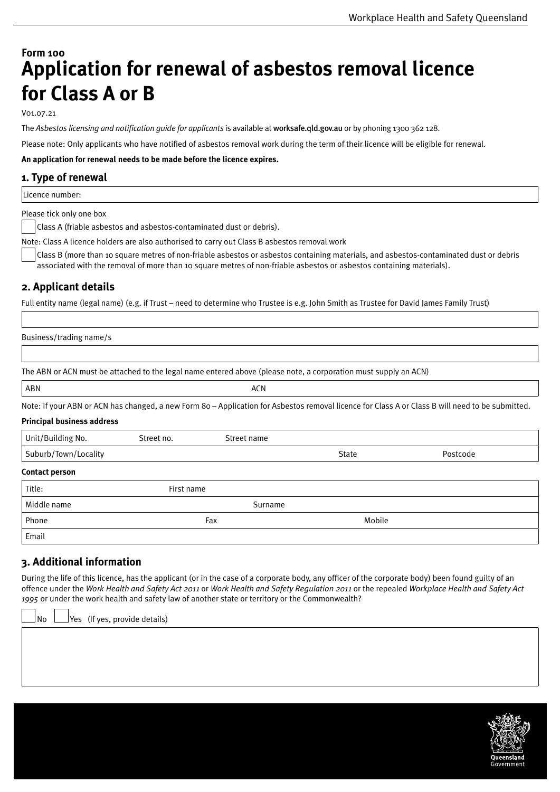# **Form 100 Application for renewal of asbestos removal licence for Class A or B**

V01.07.21

The *Asbestos licensing and notification guide for applicants* is available at [worksafe.qld.gov.au](http://www.worksafe.qld.gov.au/) or by phoning 1300 362 128.

Please note: Only applicants who have notified of asbestos removal work during the term of their licence will be eligible for renewal.

**An application for renewal needs to be made before the licence expires.**

## **1. Type of renewal**

Licence number:

Please tick only one box

Class A (friable asbestos and asbestos-contaminated dust or debris).

Note: Class A licence holders are also authorised to carry out Class B asbestos removal work

Class B (more than 10 square metres of non-friable asbestos or asbestos containing materials, and asbestos-contaminated dust or debris associated with the removal of more than 10 square metres of non-friable asbestos or asbestos containing materials).

# **2. Applicant details**

Full entity name (legal name) (e.g. if Trust – need to determine who Trustee is e.g. John Smith as Trustee for David James Family Trust)

Business/trading name/s

The ABN or ACN must be attached to the legal name entered above (please note, a corporation must supply an ACN)

| <b>ABN</b> | $\sim$ $\sim$ $\sim$ |
|------------|----------------------|
|            | $\cdot\cdot\cdot$    |

Note: If your ABN or ACN has changed, a new Form 80 – Application for Asbestos removal licence for Class A or Class B will need to be submitted.

#### **Principal business address**

| Unit/Building No.     | Street no. | Street name |        |          |
|-----------------------|------------|-------------|--------|----------|
| Suburb/Town/Locality  |            |             | State  | Postcode |
| <b>Contact person</b> |            |             |        |          |
| Title:                | First name |             |        |          |
| Middle name           |            | Surname     |        |          |
| Phone                 | Fax        |             | Mobile |          |
| Email                 |            |             |        |          |

# **3. Additional information**

During the life of this licence, has the applicant (or in the case of a corporate body, any officer of the corporate body) been found guilty of an offence under the *Work Health and Safety Act 2011* or *Work Health and Safety Regulation 2011* or the repealed *Workplace Health and Safety Act 1995* or under the work health and safety law of another state or territory or the Commonwealth?

No  $\Box$  Yes (If yes, provide details)

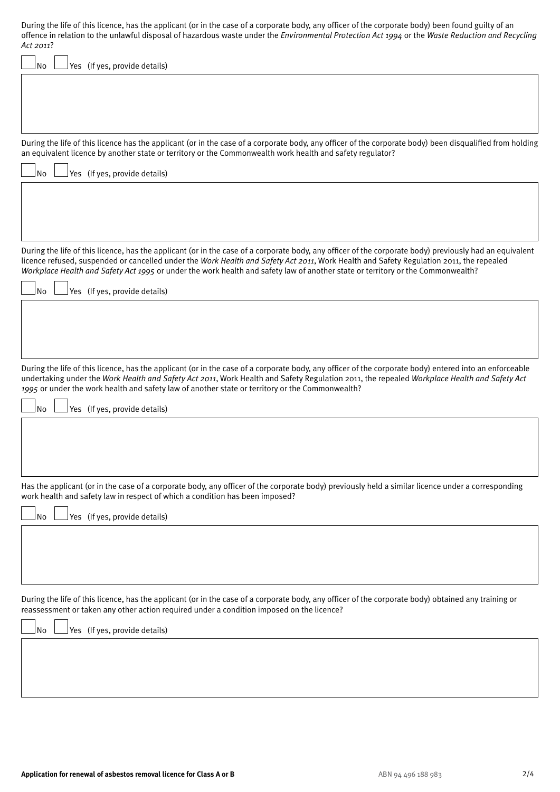| During the life of this licence, has the applicant (or in the case of a corporate body, any officer of the corporate body) been found guilty of an<br>offence in relation to the unlawful disposal of hazardous waste under the Environmental Protection Act 1994 or the Waste Reduction and Recycling<br>Act 2011?                                                                                                                                    |
|--------------------------------------------------------------------------------------------------------------------------------------------------------------------------------------------------------------------------------------------------------------------------------------------------------------------------------------------------------------------------------------------------------------------------------------------------------|
| Yes (If yes, provide details)<br>No                                                                                                                                                                                                                                                                                                                                                                                                                    |
|                                                                                                                                                                                                                                                                                                                                                                                                                                                        |
| During the life of this licence has the applicant (or in the case of a corporate body, any officer of the corporate body) been disqualified from holding<br>an equivalent licence by another state or territory or the Commonwealth work health and safety regulator?                                                                                                                                                                                  |
| <b>No</b><br>Yes (If yes, provide details)                                                                                                                                                                                                                                                                                                                                                                                                             |
|                                                                                                                                                                                                                                                                                                                                                                                                                                                        |
| During the life of this licence, has the applicant (or in the case of a corporate body, any officer of the corporate body) previously had an equivalent<br>licence refused, suspended or cancelled under the Work Health and Safety Act 2011, Work Health and Safety Regulation 2011, the repealed<br>Workplace Health and Safety Act 1995 or under the work health and safety law of another state or territory or the Commonwealth?                  |
| No<br>Yes (If yes, provide details)                                                                                                                                                                                                                                                                                                                                                                                                                    |
| During the life of this licence, has the applicant (or in the case of a corporate body, any officer of the corporate body) entered into an enforceable<br>undertaking under the Work Health and Safety Act 2011, Work Health and Safety Regulation 2011, the repealed Workplace Health and Safety Act<br>1995 or under the work health and safety law of another state or territory or the Commonwealth?<br><b>No</b><br>Yes (If yes, provide details) |
|                                                                                                                                                                                                                                                                                                                                                                                                                                                        |
| Has the applicant (or in the case of a corporate body, any officer of the corporate body) previously held a similar licence under a corresponding<br>work health and safety law in respect of which a condition has been imposed?                                                                                                                                                                                                                      |
| <b>No</b><br>Yes (If yes, provide details)                                                                                                                                                                                                                                                                                                                                                                                                             |
| During the life of this licence, has the applicant (or in the case of a corporate body, any officer of the corporate body) obtained any training or<br>reassessment or taken any other action required under a condition imposed on the licence?                                                                                                                                                                                                       |
| Yes (If yes, provide details)<br>No                                                                                                                                                                                                                                                                                                                                                                                                                    |
|                                                                                                                                                                                                                                                                                                                                                                                                                                                        |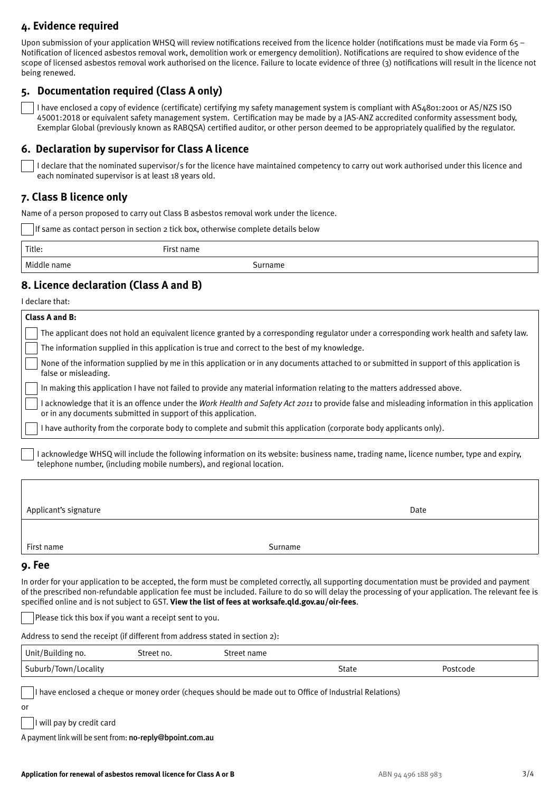# **4. Evidence required**

Upon submission of your application WHSQ will review notifications received from the licence holder (notifications must be made via Form 65 – Notification of licenced asbestos removal work, demolition work or emergency demolition). Notifications are required to show evidence of the scope of licensed asbestos removal work authorised on the licence. Failure to locate evidence of three (3) notifications will result in the licence not being renewed.

# **5. Documentation required (Class A only)**

 I have enclosed a copy of evidence (certificate) certifying my safety management system is compliant with AS4801:2001 or AS/NZS ISO 45001:2018 or equivalent safety management system. Certification may be made by a JAS-ANZ accredited conformity assessment body, Exemplar Global (previously known as RABQSA) certified auditor, or other person deemed to be appropriately qualified by the regulator.

## **6. Declaration by supervisor for Class A licence**

 I declare that the nominated supervisor/s for the licence have maintained competency to carry out work authorised under this licence and each nominated supervisor is at least 18 years old.

## **7. Class B licence only**

Name of a person proposed to carry out Class B asbestos removal work under the licence.

If same as contact person in section 2 tick box, otherwise complete details below

| Title:      | - 11<br>name |
|-------------|--------------|
| <b>Midd</b> | rname        |
| name        | ור           |

# **8. Licence declaration (Class A and B)**

I declare that:

| Class A and B:                                                                                |                                                                                                                                                    |
|-----------------------------------------------------------------------------------------------|----------------------------------------------------------------------------------------------------------------------------------------------------|
|                                                                                               | The applicant does not hold an equivalent licence granted by a corresponding regulator under a corresponding work health and safety law.           |
| The information supplied in this application is true and correct to the best of my knowledge. |                                                                                                                                                    |
| false or misleading.                                                                          | None of the information supplied by me in this application or in any documents attached to or submitted in support of this application is          |
|                                                                                               | In making this application I have not failed to provide any material information relating to the matters addressed above.                          |
| or in any documents submitted in support of this application.                                 | acknowledge that it is an offence under the <i>Work Health and Safety Act 2011</i> to provide false and misleading information in this application |
|                                                                                               | l have authority from the corporate body to complete and submit this application (corporate body applicants only).                                 |
| telephone number, (including mobile numbers), and regional location.                          | I acknowledge WHSQ will include the following information on its website: business name, trading name, licence number, type and expiry,            |
| Applicant's signature                                                                         | Date                                                                                                                                               |
| First name                                                                                    | Surname                                                                                                                                            |

### **9. Fee**

In order for your application to be accepted, the form must be completed correctly, all supporting documentation must be provided and payment of the prescribed non-refundable application fee must be included. Failure to do so will delay the processing of your application. The relevant fee is specified online and is not subject to GST. **View the list of fees at [worksafe.qld.gov.au/oir-fees](http://worksafe.qld.gov.au/oir-fees)**.

Please tick this box if you want a receipt sent to you.

Address to send the receipt (if different from address stated in section 2):

| Unit/Building no.    | treet no. | treet name |                   |          |  |
|----------------------|-----------|------------|-------------------|----------|--|
| Suburb/Town/Locality |           |            | <b>.</b><br>State | Postcode |  |

I have enclosed a cheque or money order (cheques should be made out to Office of Industrial Relations)

I will pay by credit card

A payment link will be sent from: [no-reply@bpoint.com.au](mailto:no-reply%40bpoint.com.au?subject=)

or